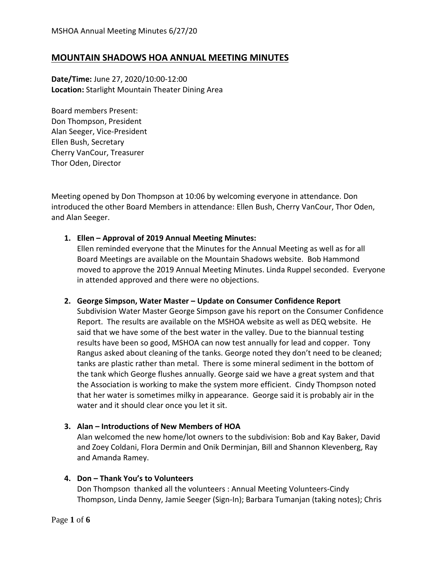# **MOUNTAIN SHADOWS HOA ANNUAL MEETING MINUTES**

**Date/Time:** June 27, 2020/10:00-12:00 **Location:** Starlight Mountain Theater Dining Area

Board members Present: Don Thompson, President Alan Seeger, Vice-President Ellen Bush, Secretary Cherry VanCour, Treasurer Thor Oden, Director

Meeting opened by Don Thompson at 10:06 by welcoming everyone in attendance. Don introduced the other Board Members in attendance: Ellen Bush, Cherry VanCour, Thor Oden, and Alan Seeger.

### **1. Ellen – Approval of 2019 Annual Meeting Minutes:**

Ellen reminded everyone that the Minutes for the Annual Meeting as well as for all Board Meetings are available on the Mountain Shadows website. Bob Hammond moved to approve the 2019 Annual Meeting Minutes. Linda Ruppel seconded. Everyone in attended approved and there were no objections.

### **2. George Simpson, Water Master – Update on Consumer Confidence Report**

Subdivision Water Master George Simpson gave his report on the Consumer Confidence Report. The results are available on the MSHOA website as well as DEQ website. He said that we have some of the best water in the valley. Due to the biannual testing results have been so good, MSHOA can now test annually for lead and copper. Tony Rangus asked about cleaning of the tanks. George noted they don't need to be cleaned; tanks are plastic rather than metal. There is some mineral sediment in the bottom of the tank which George flushes annually. George said we have a great system and that the Association is working to make the system more efficient. Cindy Thompson noted that her water is sometimes milky in appearance. George said it is probably air in the water and it should clear once you let it sit.

### **3. Alan – Introductions of New Members of HOA**

Alan welcomed the new home/lot owners to the subdivision: Bob and Kay Baker, David and Zoey Coldani, Flora Dermin and Onik Derminjan, Bill and Shannon Klevenberg, Ray and Amanda Ramey.

### **4. Don – Thank You's to Volunteers**

Don Thompson thanked all the volunteers : Annual Meeting Volunteers-Cindy Thompson, Linda Denny, Jamie Seeger (Sign-In); Barbara Tumanjan (taking notes); Chris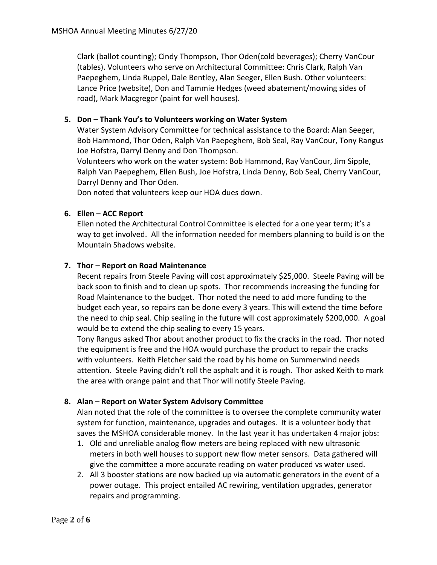Clark (ballot counting); Cindy Thompson, Thor Oden(cold beverages); Cherry VanCour (tables). Volunteers who serve on Architectural Committee: Chris Clark, Ralph Van Paepeghem, Linda Ruppel, Dale Bentley, Alan Seeger, Ellen Bush. Other volunteers: Lance Price (website), Don and Tammie Hedges (weed abatement/mowing sides of road), Mark Macgregor (paint for well houses).

## **5. Don – Thank You's to Volunteers working on Water System**

Water System Advisory Committee for technical assistance to the Board: Alan Seeger, Bob Hammond, Thor Oden, Ralph Van Paepeghem, Bob Seal, Ray VanCour, Tony Rangus Joe Hofstra, Darryl Denny and Don Thompson.

Volunteers who work on the water system: Bob Hammond, Ray VanCour, Jim Sipple, Ralph Van Paepeghem, Ellen Bush, Joe Hofstra, Linda Denny, Bob Seal, Cherry VanCour, Darryl Denny and Thor Oden.

Don noted that volunteers keep our HOA dues down.

### **6. Ellen – ACC Report**

Ellen noted the Architectural Control Committee is elected for a one year term; it's a way to get involved. All the information needed for members planning to build is on the Mountain Shadows website.

### **7. Thor – Report on Road Maintenance**

Recent repairs from Steele Paving will cost approximately \$25,000. Steele Paving will be back soon to finish and to clean up spots. Thor recommends increasing the funding for Road Maintenance to the budget. Thor noted the need to add more funding to the budget each year, so repairs can be done every 3 years. This will extend the time before the need to chip seal. Chip sealing in the future will cost approximately \$200,000. A goal would be to extend the chip sealing to every 15 years.

Tony Rangus asked Thor about another product to fix the cracks in the road. Thor noted the equipment is free and the HOA would purchase the product to repair the cracks with volunteers. Keith Fletcher said the road by his home on Summerwind needs attention. Steele Paving didn't roll the asphalt and it is rough. Thor asked Keith to mark the area with orange paint and that Thor will notify Steele Paving.

## **8. Alan – Report on Water System Advisory Committee**

Alan noted that the role of the committee is to oversee the complete community water system for function, maintenance, upgrades and outages. It is a volunteer body that saves the MSHOA considerable money. In the last year it has undertaken 4 major jobs:

- 1. Old and unreliable analog flow meters are being replaced with new ultrasonic meters in both well houses to support new flow meter sensors. Data gathered will give the committee a more accurate reading on water produced vs water used.
- 2. All 3 booster stations are now backed up via automatic generators in the event of a power outage. This project entailed AC rewiring, ventilation upgrades, generator repairs and programming.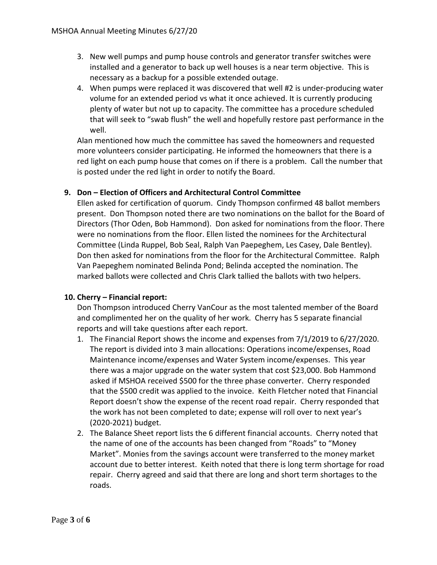- 3. New well pumps and pump house controls and generator transfer switches were installed and a generator to back up well houses is a near term objective. This is necessary as a backup for a possible extended outage.
- 4. When pumps were replaced it was discovered that well #2 is under-producing water volume for an extended period vs what it once achieved. It is currently producing plenty of water but not up to capacity. The committee has a procedure scheduled that will seek to "swab flush" the well and hopefully restore past performance in the well.

Alan mentioned how much the committee has saved the homeowners and requested more volunteers consider participating. He informed the homeowners that there is a red light on each pump house that comes on if there is a problem. Call the number that is posted under the red light in order to notify the Board.

## **9. Don – Election of Officers and Architectural Control Committee**

Ellen asked for certification of quorum. Cindy Thompson confirmed 48 ballot members present. Don Thompson noted there are two nominations on the ballot for the Board of Directors (Thor Oden, Bob Hammond). Don asked for nominations from the floor. There were no nominations from the floor. Ellen listed the nominees for the Architectural Committee (Linda Ruppel, Bob Seal, Ralph Van Paepeghem, Les Casey, Dale Bentley). Don then asked for nominations from the floor for the Architectural Committee. Ralph Van Paepeghem nominated Belinda Pond; Belinda accepted the nomination. The marked ballots were collected and Chris Clark tallied the ballots with two helpers.

## **10. Cherry – Financial report:**

Don Thompson introduced Cherry VanCour as the most talented member of the Board and complimented her on the quality of her work. Cherry has 5 separate financial reports and will take questions after each report.

- 1. The Financial Report shows the income and expenses from 7/1/2019 to 6/27/2020. The report is divided into 3 main allocations: Operations income/expenses, Road Maintenance income/expenses and Water System income/expenses. This year there was a major upgrade on the water system that cost \$23,000. Bob Hammond asked if MSHOA received \$500 for the three phase converter. Cherry responded that the \$500 credit was applied to the invoice. Keith Fletcher noted that Financial Report doesn't show the expense of the recent road repair. Cherry responded that the work has not been completed to date; expense will roll over to next year's (2020-2021) budget.
- 2. The Balance Sheet report lists the 6 different financial accounts. Cherry noted that the name of one of the accounts has been changed from "Roads" to "Money Market". Monies from the savings account were transferred to the money market account due to better interest. Keith noted that there is long term shortage for road repair. Cherry agreed and said that there are long and short term shortages to the roads.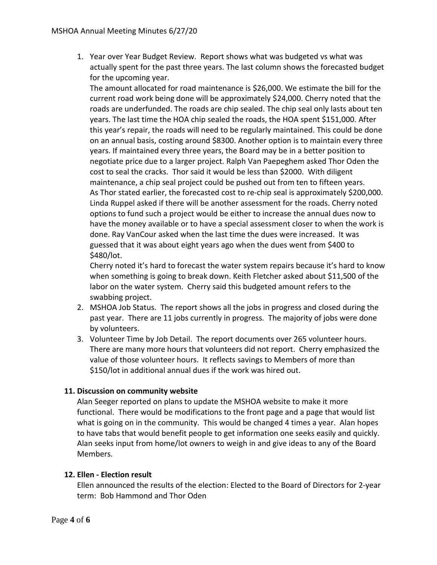1. Year over Year Budget Review. Report shows what was budgeted vs what was actually spent for the past three years. The last column shows the forecasted budget for the upcoming year.

The amount allocated for road maintenance is \$26,000. We estimate the bill for the current road work being done will be approximately \$24,000. Cherry noted that the roads are underfunded. The roads are chip sealed. The chip seal only lasts about ten years. The last time the HOA chip sealed the roads, the HOA spent \$151,000. After this year's repair, the roads will need to be regularly maintained. This could be done on an annual basis, costing around \$8300. Another option is to maintain every three years. If maintained every three years, the Board may be in a better position to negotiate price due to a larger project. Ralph Van Paepeghem asked Thor Oden the cost to seal the cracks. Thor said it would be less than \$2000. With diligent maintenance, a chip seal project could be pushed out from ten to fifteen years. As Thor stated earlier, the forecasted cost to re-chip seal is approximately \$200,000. Linda Ruppel asked if there will be another assessment for the roads. Cherry noted options to fund such a project would be either to increase the annual dues now to have the money available or to have a special assessment closer to when the work is done. Ray VanCour asked when the last time the dues were increased. It was guessed that it was about eight years ago when the dues went from \$400 to \$480/lot.

Cherry noted it's hard to forecast the water system repairs because it's hard to know when something is going to break down. Keith Fletcher asked about \$11,500 of the labor on the water system. Cherry said this budgeted amount refers to the swabbing project.

- 2. MSHOA Job Status. The report shows all the jobs in progress and closed during the past year. There are 11 jobs currently in progress. The majority of jobs were done by volunteers.
- 3. Volunteer Time by Job Detail. The report documents over 265 volunteer hours. There are many more hours that volunteers did not report. Cherry emphasized the value of those volunteer hours. It reflects savings to Members of more than \$150/lot in additional annual dues if the work was hired out.

## **11. Discussion on community website**

Alan Seeger reported on plans to update the MSHOA website to make it more functional. There would be modifications to the front page and a page that would list what is going on in the community. This would be changed 4 times a year. Alan hopes to have tabs that would benefit people to get information one seeks easily and quickly. Alan seeks input from home/lot owners to weigh in and give ideas to any of the Board Members.

## **12. Ellen - Election result**

Ellen announced the results of the election: Elected to the Board of Directors for 2-year term: Bob Hammond and Thor Oden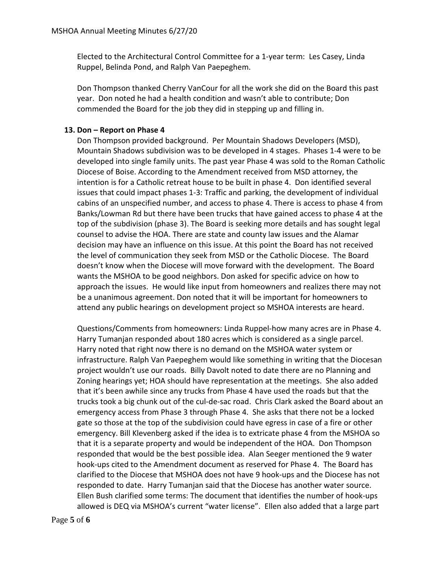Elected to the Architectural Control Committee for a 1-year term: Les Casey, Linda Ruppel, Belinda Pond, and Ralph Van Paepeghem.

Don Thompson thanked Cherry VanCour for all the work she did on the Board this past year. Don noted he had a health condition and wasn't able to contribute; Don commended the Board for the job they did in stepping up and filling in.

### **13. Don – Report on Phase 4**

Don Thompson provided background. Per Mountain Shadows Developers (MSD), Mountain Shadows subdivision was to be developed in 4 stages. Phases 1-4 were to be developed into single family units. The past year Phase 4 was sold to the Roman Catholic Diocese of Boise. According to the Amendment received from MSD attorney, the intention is for a Catholic retreat house to be built in phase 4. Don identified several issues that could impact phases 1-3: Traffic and parking, the development of individual cabins of an unspecified number, and access to phase 4. There is access to phase 4 from Banks/Lowman Rd but there have been trucks that have gained access to phase 4 at the top of the subdivision (phase 3). The Board is seeking more details and has sought legal counsel to advise the HOA. There are state and county law issues and the Alamar decision may have an influence on this issue. At this point the Board has not received the level of communication they seek from MSD or the Catholic Diocese. The Board doesn't know when the Diocese will move forward with the development. The Board wants the MSHOA to be good neighbors. Don asked for specific advice on how to approach the issues. He would like input from homeowners and realizes there may not be a unanimous agreement. Don noted that it will be important for homeowners to attend any public hearings on development project so MSHOA interests are heard.

Questions/Comments from homeowners: Linda Ruppel-how many acres are in Phase 4. Harry Tumanjan responded about 180 acres which is considered as a single parcel. Harry noted that right now there is no demand on the MSHOA water system or infrastructure. Ralph Van Paepeghem would like something in writing that the Diocesan project wouldn't use our roads. Billy Davolt noted to date there are no Planning and Zoning hearings yet; HOA should have representation at the meetings. She also added that it's been awhile since any trucks from Phase 4 have used the roads but that the trucks took a big chunk out of the cul-de-sac road. Chris Clark asked the Board about an emergency access from Phase 3 through Phase 4. She asks that there not be a locked gate so those at the top of the subdivision could have egress in case of a fire or other emergency. Bill Klevenberg asked if the idea is to extricate phase 4 from the MSHOA so that it is a separate property and would be independent of the HOA. Don Thompson responded that would be the best possible idea. Alan Seeger mentioned the 9 water hook-ups cited to the Amendment document as reserved for Phase 4. The Board has clarified to the Diocese that MSHOA does not have 9 hook-ups and the Diocese has not responded to date. Harry Tumanjan said that the Diocese has another water source. Ellen Bush clarified some terms: The document that identifies the number of hook-ups allowed is DEQ via MSHOA's current "water license". Ellen also added that a large part